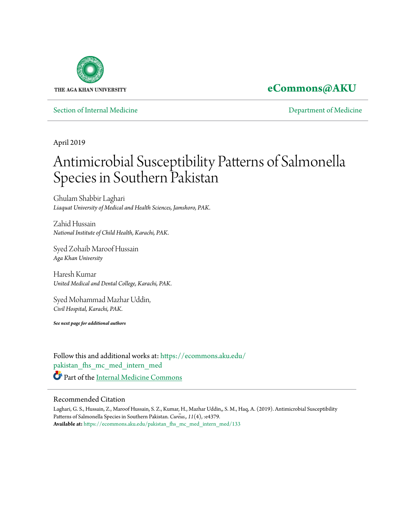

## **[eCommons@AKU](https://ecommons.aku.edu?utm_source=ecommons.aku.edu%2Fpakistan_fhs_mc_med_intern_med%2F133&utm_medium=PDF&utm_campaign=PDFCoverPages)**

[Section of Internal Medicine](https://ecommons.aku.edu/pakistan_fhs_mc_med_intern_med?utm_source=ecommons.aku.edu%2Fpakistan_fhs_mc_med_intern_med%2F133&utm_medium=PDF&utm_campaign=PDFCoverPages) **[Department of Medicine](https://ecommons.aku.edu/pakistan_fhs_mc_med?utm_source=ecommons.aku.edu%2Fpakistan_fhs_mc_med_intern_med%2F133&utm_medium=PDF&utm_campaign=PDFCoverPages)** 

April 2019

# Antimicrobial Susceptibility Patterns of Salmonella Species in Southern Pakistan

Ghulam Shabbir Laghari *Liaquat University of Medical and Health Sciences, Jamshoro, PAK.*

Zahid Hussain *National Institute of Child Health, Karachi, PAK.*

Syed Zohaib Maroof Hussain *Aga Khan University*

Haresh Kumar *United Medical and Dental College, Karachi, PAK.*

Syed Mohammad Mazhar Uddin, *Civil Hospital, Karachi, PAK.*

*See next page for additional authors*

Follow this and additional works at: [https://ecommons.aku.edu/](https://ecommons.aku.edu/pakistan_fhs_mc_med_intern_med?utm_source=ecommons.aku.edu%2Fpakistan_fhs_mc_med_intern_med%2F133&utm_medium=PDF&utm_campaign=PDFCoverPages) [pakistan\\_fhs\\_mc\\_med\\_intern\\_med](https://ecommons.aku.edu/pakistan_fhs_mc_med_intern_med?utm_source=ecommons.aku.edu%2Fpakistan_fhs_mc_med_intern_med%2F133&utm_medium=PDF&utm_campaign=PDFCoverPages) Part of the [Internal Medicine Commons](http://network.bepress.com/hgg/discipline/1356?utm_source=ecommons.aku.edu%2Fpakistan_fhs_mc_med_intern_med%2F133&utm_medium=PDF&utm_campaign=PDFCoverPages)

#### Recommended Citation

Laghari, G. S., Hussain, Z., Maroof Hussain, S. Z., Kumar, H., Mazhar Uddin,, S. M., Haq, A. (2019). Antimicrobial Susceptibility Patterns of Salmonella Species in Southern Pakistan. *Cure*̄*us., 11*(4), :e4379. **Available at:** [https://ecommons.aku.edu/pakistan\\_fhs\\_mc\\_med\\_intern\\_med/133](https://ecommons.aku.edu/pakistan_fhs_mc_med_intern_med/133)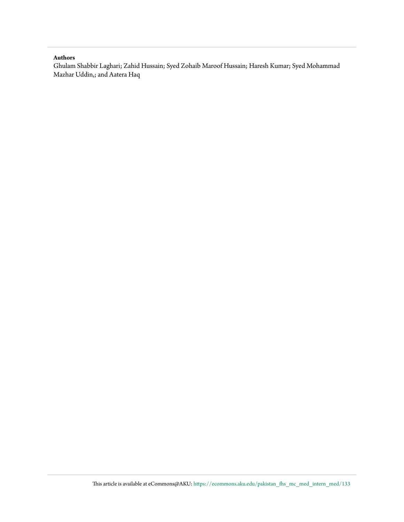#### **Authors**

Ghulam Shabbir Laghari; Zahid Hussain; Syed Zohaib Maroof Hussain; Haresh Kumar; Syed Mohammad Mazhar Uddin,; and Aatera Haq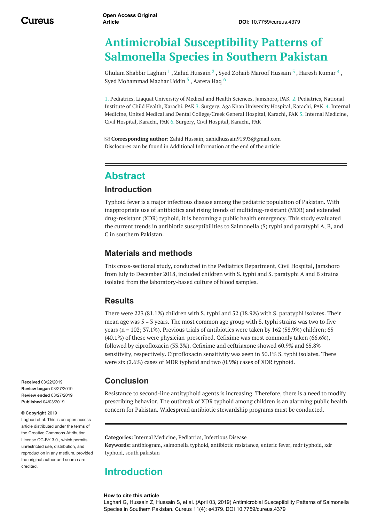## **Antimicrobial Susceptibility Patterns of Salmonella Species in Southern Pakistan**

<span id="page-2-0"></span>[Ghulam](https://www.cureus.com/users/117428-ghulam-shabbir-laghari) Shabbir Laghari  $^1$  , Zahid [Hussain](https://www.cureus.com/users/51795-syed-zohaib-maroof-hussain)  $^2$  , Syed Zohaib Maroof Hussain  $^3$  , [Haresh](https://www.cureus.com/users/117559-haresh-kumar-) Kumar  $^4$  , Syed [Mohammad](https://www.cureus.com/users/56850-syed-mohammad-mazhar-uddin-) Mazhar Uddin <sup>5</sup> , [Aatera](https://www.cureus.com/users/56851-aatera-haq) Haq <sup>6</sup>

1. Pediatrics, Liaquat University of Medical and Health Sciences, Jamshoro, PAK 2. Pediatrics, National Institute of Child Health, Karachi, PAK 3. Surgery, Aga Khan University Hospital, Karachi, PAK 4. Internal Medicine, United Medical and Dental College/Creek General Hospital, Karachi, PAK 5. Internal Medicine, Civil Hospital, Karachi, PAK 6. Surgery, Civil Hospital, Karachi, PAK

 **Corresponding author:** Zahid Hussain, zahidhussain91393@gmail.com Disclosures can be found in Additional Information at the end of the article

### **Abstract**

#### **Introduction**

Typhoid fever is a major infectious disease among the pediatric population of Pakistan. With inappropriate use of antibiotics and rising trends of multidrug-resistant (MDR) and extended drug-resistant (XDR) typhoid, it is becoming a public health emergency. This study evaluated the current trends in antibiotic susceptibilities to Salmonella (S) typhi and paratyphi A, B, and C in southern Pakistan.

#### **Materials and methods**

This cross-sectional study, conducted in the Pediatrics Department, Civil Hospital, Jamshoro from July to December 2018, included children with S. typhi and S. paratyphi A and B strains isolated from the laboratory-based culture of blood samples.

#### **Results**

There were 223 (81.1%) children with S. typhi and 52 (18.9%) with S. paratyphi isolates. Their mean age was  $5 \pm 3$  years. The most common age group with S, typhi strains was two to five years (n = 102; 37.1%). Previous trials of antibiotics were taken by 162 (58.9%) children; 65 (40.1%) of these were physician-prescribed. Cefixime was most commonly taken (66.6%), followed by ciprofloxacin (33.3%). Cefixime and ceftriaxone showed 60.9% and 65.8% sensitivity, respectively. Ciprofloxacin sensitivity was seen in 50.1% S. typhi isolates. There were six (2.6%) cases of MDR typhoid and two (0.9%) cases of XDR typhoid.

#### **Conclusion**

Resistance to second-line antityphoid agents is increasing. Therefore, there is a need to modify prescribing behavior. The outbreak of XDR typhoid among children is an alarming public health concern for Pakistan. Widespread antibiotic stewardship programs must be conducted.

**Categories:** Internal Medicine, Pediatrics, Infectious Disease **Keywords:** antibiogram, salmonella typhoid, antibiotic resistance, enteric fever, mdr typhoid, xdr typhoid, south pakistan

#### **Introduction**

#### **How to cite this article**

Laghari G, Hussain Z, Hussain S, et al. (April 03, 2019) Antimicrobial Susceptibility Patterns of Salmonella Species in Southern Pakistan. Cureus 11(4): e4379. DOI 10.7759/cureus.4379

**Received** 03/22/2019 **Review began** 03/27/2019 **Review ended** 03/27/2019 **Published** 04/03/2019

#### **© Copyright** 2019

Laghari et al. This is an open access article distributed under the terms of the Creative Commons Attribution License CC-BY 3.0., which permits unrestricted use, distribution, and reproduction in any medium, provided the original author and source are credited.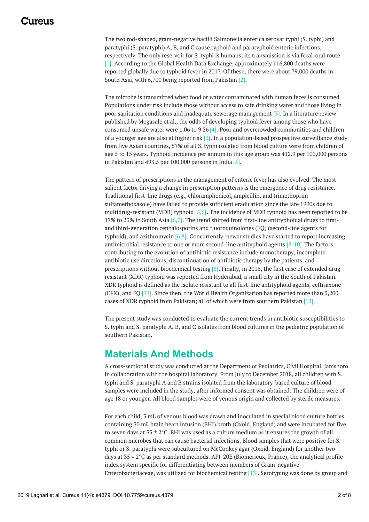### <span id="page-3-0"></span>117A119

The two rod-shaped, gram-negative bacilli Salmonella enterica serovar typhi (S. typhi) and paratyphi (S. paratyphi) A, B, and C cause typhoid and paratyphoid enteric infections, respectively. The only reservoir for S. typhi is humans; its transmission is via fecal-oral route [1]. According to the Global Health Data Exchange, approximately 116,800 deaths were reported globally due to typhoid fever in 2017. Of these, there were about 79,000 deaths in South Asia, with 6,700 being reported from Pakistan [2].

The microbe is transmitted when food or water contaminated with human feces is consumed. Populations under risk include those without access to safe drinking water and those living in poor sanitation conditions and inadequate sewerage management [3]. In a literature review published by Mogasale et al., the odds of developing typhoid fever among those who have consumed unsafe water were 1.06 to 9.26 [4]. Poor and overcrowded communities and children of a younger age are also at higher risk [3]. In a population-based prospective surveillance study from five Asian countries, 57% of all S. typhi isolated from blood culture were from children of age 5 to 15 years. Typhoid incidence per annum in this age group was 412.9 per 100,000 persons in Pakistan and 493.5 per 100,000 persons in India  $[5]$ .

The pattern of prescriptions in the management of enteric fever has also evolved. The most salient factor driving a change in prescription patterns is the emergence of drug resistance. Traditional first-line drugs (e.g., chloramphenicol, ampicillin, and trimethoprimsulfamethoxazole) have failed to provide sufficient eradication since the late 1990s due to multidrug-resistant (MDR) typhoid [5,6]. The incidence of MDR typhoid has been reported to be 17% to 23% in South Asia [6,7]. The trend shifted from first-line antityphoidal drugs to firstand third-generation cephalosporins and fluoroquinolones (FQ) (second-line agents for typhoid), and azithromycin [6,8]. Concurrently, newer studies have started to report increasing antimicrobial resistance to one or more second-line antityphoid agents [8-10]. The factors contributing to the evolution of antibiotic resistance include monotherapy, incomplete antibiotic use directions, discontinuation of antibiotic therapy by the patients, and prescriptions without biochemical testing [8]. Finally, in 2016, the first case of extended drugresistant (XDR) typhoid was reported from Hyderabad, a small city in the South of Pakistan. XDR typhoid is defined as the isolate resistant to all first-line antityphoid agents, ceftriaxone (CFX), and FQ [11]. Since then, the World Health Organization has reported more than 5,200 cases of XDR typhoid from Pakistan; all of which were from southern Pakistan [12].

The present study was conducted to evaluate the current trends in antibiotic susceptibilities to S. typhi and S. paratyphi A, B, and C isolates from blood cultures in the pediatric population of southern Pakistan.

## **Materials And Methods**

A cross-sectional study was conducted at the Department of Pediatrics, Civil Hospital, Jamshoro in collaboration with the hospital laboratory. From July to December 2018, all children with S. typhi and S. paratyphi A and B strains isolated from the laboratory-based culture of blood samples were included in the study, after informed consent was obtained. The children were of age 18 or younger. All blood samples were of venous origin and collected by sterile measures.

For each child, 5 mL of venous blood was drawn and inoculated in special blood culture bottles containing 30 mL brain heart infusion (BHI) broth (Oxoid, England) and were incubated for five to seven days at  $35 \pm 2$  °C. BHI was used as a culture medium as it ensures the growth of all common microbes that can cause bacterial infections. Blood samples that were positive for S. typhi or S. paratyphi were subcultured on McConkey agar (Oxoid, England) for another two days at  $35 \pm 2$ °C as per standard methods. API-20E (Biomerieux, France), the analytical profile index system specific for differentiating between members of Gram-negative Enterobacteriaceae, was utilized for biochemical testing [13]. Serotyping was done by group and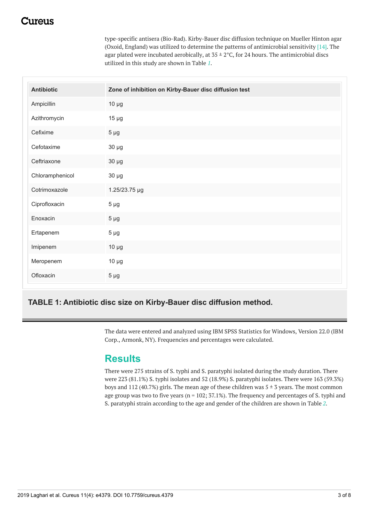## <span id="page-4-0"></span>:117e11S

type-specific antisera (Bio-Rad). Kirby-Bauer disc diffusion technique on Mueller Hinton agar (Oxoid, England) was utilized to determine the patterns of antimicrobial sensitivity  $[14]$ . The agar plated were incubated aerobically, at  $35 \pm 2$ °C, for 24 hours. The antimicrobial discs utilized in this study are shown in Table *[1](#page-2-0)*.

| <b>Antibiotic</b> | Zone of inhibition on Kirby-Bauer disc diffusion test |
|-------------------|-------------------------------------------------------|
| Ampicillin        | $10 \mu g$                                            |
| Azithromycin      | $15 \mu g$                                            |
| Cefixime          | $5 \mu g$                                             |
| Cefotaxime        | $30 \mu g$                                            |
| Ceftriaxone       | $30 \mu g$                                            |
| Chloramphenicol   | $30 \mu g$                                            |
| Cotrimoxazole     | 1.25/23.75 µg                                         |
| Ciprofloxacin     | $5 \mu g$                                             |
| Enoxacin          | $5 \mu g$                                             |
| Ertapenem         | $5 \mu g$                                             |
| Imipenem          | $10 \mu g$                                            |
| Meropenem         | $10 \mu g$                                            |
| Ofloxacin         | $5 \mu g$                                             |

#### **TABLE 1: Antibiotic disc size on Kirby-Bauer disc diffusion method.**

The data were entered and analyzed using IBM SPSS Statistics for Windows, Version 22.0 (IBM Corp., Armonk, NY). Frequencies and percentages were calculated.

#### **Results**

There were 275 strains of S. typhi and S. paratyphi isolated during the study duration. There were 223 (81.1%) S. typhi isolates and 52 (18.9%) S. paratyphi isolates. There were 163 (59.3%) boys and 112 (40.7%) girls. The mean age of these children was  $5 \pm 3$  years. The most common age group was two to five years ( $n = 102$ ;  $37.1\%$ ). The frequency and percentages of S. typhi and S. paratyphi strain according to the age and gender of the children are shown in Table *[2](#page-3-0)*.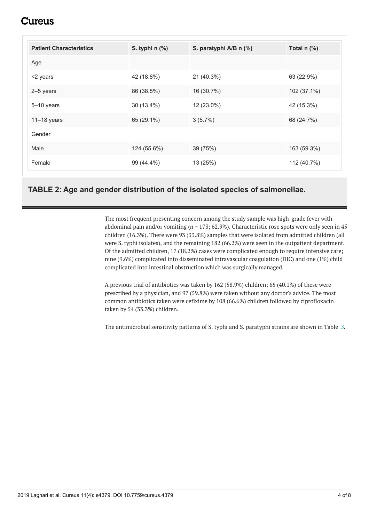## **L**ureus

<span id="page-5-0"></span>

| <b>Patient Characteristics</b> | S. typhi $n$ $%$ | S. paratyphi A/B n (%) | Total n (%) |
|--------------------------------|------------------|------------------------|-------------|
| Age                            |                  |                        |             |
| <2 years                       | 42 (18.8%)       | 21 (40.3%)             | 63 (22.9%)  |
| 2-5 years                      | 86 (38.5%)       | 16 (30.7%)             | 102 (37.1%) |
| $5 - 10$ years                 | 30 (13.4%)       | 12 (23.0%)             | 42 (15.3%)  |
| $11-18$ years                  | 65 (29.1%)       | $3(5.7\%)$             | 68 (24.7%)  |
| Gender                         |                  |                        |             |
| Male                           | 124 (55.6%)      | 39 (75%)               | 163 (59.3%) |
| Female                         | 99 (44.4%)       | 13 (25%)               | 112 (40.7%) |

#### **TABLE 2: Age and gender distribution of the isolated species of salmonellae.**

The most frequent presenting concern among the study sample was high-grade fever with abdominal pain and/or vomiting ( $n = 173$ ; 62.9%). Characteristic rose spots were only seen in 45 children (16.3%). There were 93 (33.8%) samples that were isolated from admitted children (all were S. typhi isolates), and the remaining 182 (66.2%) were seen in the outpatient department. Of the admitted children, 17 (18.2%) cases were complicated enough to require intensive care; nine (9.6%) complicated into disseminated intravascular coagulation (DIC) and one (1%) child complicated into intestinal obstruction which was surgically managed.

A previous trial of antibiotics was taken by 162 (58.9%) children; 65 (40.1%) of these were prescribed by a physician, and 97 (59.8%) were taken without any doctor's advice. The most common antibiotics taken were cefixime by 108 (66.6%) children followed by ciprofloxacin taken by 54 (33.3%) children.

The antimicrobial sensitivity patterns of S. typhi and S. paratyphi strains are shown in Table *[3](#page-4-0)*.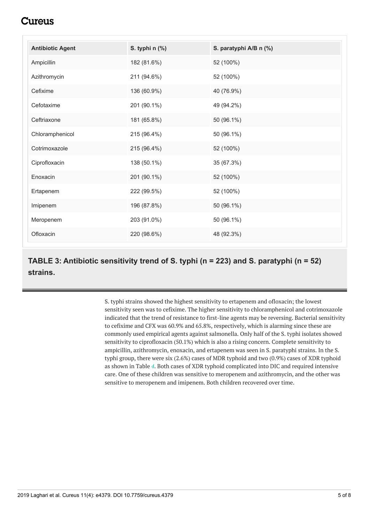## Cureus

| <b>Antibiotic Agent</b> | S. typhi n (%) | S. paratyphi A/B n (%) |
|-------------------------|----------------|------------------------|
| Ampicillin              | 182 (81.6%)    | 52 (100%)              |
| Azithromycin            | 211 (94.6%)    | 52 (100%)              |
| Cefixime                | 136 (60.9%)    | 40 (76.9%)             |
| Cefotaxime              | 201 (90.1%)    | 49 (94.2%)             |
| Ceftriaxone             | 181 (65.8%)    | 50 (96.1%)             |
| Chloramphenicol         | 215 (96.4%)    | 50 (96.1%)             |
| Cotrimoxazole           | 215 (96.4%)    | 52 (100%)              |
| Ciprofloxacin           | 138 (50.1%)    | 35 (67.3%)             |
| Enoxacin                | 201 (90.1%)    | 52 (100%)              |
| Ertapenem               | 222 (99.5%)    | 52 (100%)              |
| Imipenem                | 196 (87.8%)    | 50 (96.1%)             |
| Meropenem               | 203 (91.0%)    | 50 (96.1%)             |
| Ofloxacin               | 220 (98.6%)    | 48 (92.3%)             |

**TABLE 3: Antibiotic sensitivity trend of S. typhi (n = 223) and S. paratyphi (n = 52) strains.**

> S. typhi strains showed the highest sensitivity to ertapenem and ofloxacin; the lowest sensitivity seen was to cefixime. The higher sensitivity to chloramphenicol and cotrimoxazole indicated that the trend of resistance to first-line agents may be reversing. Bacterial sensitivity to cefixime and CFX was 60.9% and 65.8%, respectively, which is alarming since these are commonly used empirical agents against salmonella. Only half of the S. typhi isolates showed sensitivity to ciprofloxacin (50.1%) which is also a rising concern. Complete sensitivity to ampicillin, azithromycin, enoxacin, and ertapenem was seen in S. paratyphi strains. In the S. typhi group, there were six (2.6%) cases of MDR typhoid and two (0.9%) cases of XDR typhoid as shown in Table *[4](#page-5-0)*. Both cases of XDR typhoid complicated into DIC and required intensive care. One of these children was sensitive to meropenem and azithromycin, and the other was sensitive to meropenem and imipenem. Both children recovered over time.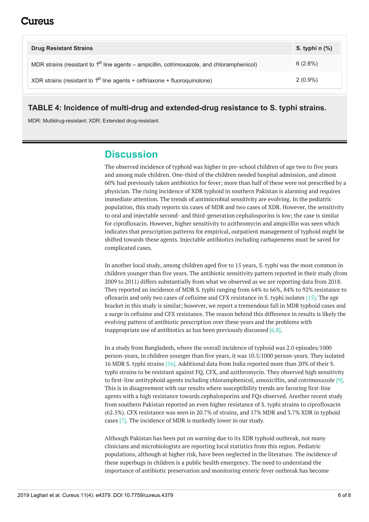| <b>Drug Resistant Strains</b>                                                                 | S. typhi $n$ $%$ |
|-----------------------------------------------------------------------------------------------|------------------|
| MDR strains (resistant to $1st$ line agents – ampicillin, cotrimoxazole, and chloramphenicol) | 6(2.6%)          |
| XDR strains (resistant to $1st$ line agents + ceftriaxone + fluoroquinolone)                  | $2(0.9\%)$       |

#### **TABLE 4: Incidence of multi-drug and extended-drug resistance to S. typhi strains.**

MDR: Multidrug-resistant; XDR: Extended drug-resistant.

## **Discussion**

The observed incidence of typhoid was higher in pre-school children of age two to five years and among male children. One-third of the children needed hospital admission, and almost 60% had previously taken antibiotics for fever; more than half of these were not prescribed by a physician. The rising incidence of XDR typhoid in southern Pakistan is alarming and requires immediate attention. The trends of antimicrobial sensitivity are evolving. In the pediatric population, this study reports six cases of MDR and two cases of XDR. However, the sensitivity to oral and injectable second- and third-generation cephalosporins is low; the case is similar for ciprofloxacin. However, higher sensitivity to azithromycin and ampicillin was seen which indicates that prescription patterns for empirical, outpatient management of typhoid might be shifted towards these agents. Injectable antibiotics including carbapenems must be saved for complicated cases.

In another local study, among children aged five to 15 years, S. typhi was the most common in children younger than five years. The antibiotic sensitivity pattern reported in their study (from 2009 to 2011) differs substantially from what we observed as we are reporting data from 2018. They reported an incidence of MDR S. typhi ranging from 64% to 66%, 84% to 92% resistance to ofloxacin and only two cases of cefixime and CFX resistance in S. typhi isolates  $[15]$ . The age bracket in this study is similar; however, we report a tremendous fall in MDR typhoid cases and a surge in cefixime and CFX resistance. The reason behind this difference in results is likely the evolving pattern of antibiotic prescription over these years and the problems with inappropriate use of antibiotics as has been previously discussed [6,8].

In a study from Bangladesh, where the overall incidence of typhoid was 2.0 episodes/1000 person-years, in children younger than five years, it was 10.5/1000 person-years. They isolated 16 MDR S. typhi strains [16]. Additional data from India reported more than 20% of their S. typhi strains to be resistant against FQ, CFX, and azithromycin. They observed high sensitivity to first-line antityphoid agents including chloramphenicol, amoxicillin, and cotrimoxazole [9]. This is in disagreement with our results where susceptibility trends are favoring first-line agents with a high resistance towards cephalosporins and FQs observed. Another recent study from southern Pakistan reported an even higher resistance of S. typhi strains to ciprofloxacin (62.5%). CFX resistance was seen in 20.7% of strains, and 17% MDR and 3.7% XDR in typhoid cases [7]. The incidence of MDR is markedly lower in our study.

Although Pakistan has been put on warning due to its XDR typhoid outbreak, not many clinicians and microbiologists are reporting local statistics from this region. Pediatric populations, although at higher risk, have been neglected in the literature. The incidence of these superbugs in children is a public health emergency. The need to understand the importance of antibiotic preservation and monitoring enteric fever outbreak has become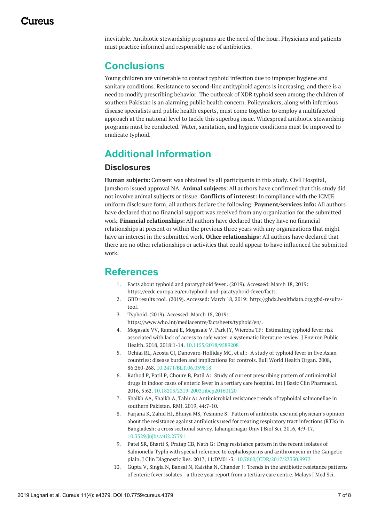inevitable. Antibiotic stewardship programs are the need of the hour. Physicians and patients must practice informed and responsible use of antibiotics.

## **Conclusions**

Young children are vulnerable to contact typhoid infection due to improper hygiene and sanitary conditions. Resistance to second-line antityphoid agents is increasing, and there is a need to modify prescribing behavior. The outbreak of XDR typhoid seen among the children of southern Pakistan is an alarming public health concern. Policymakers, along with infectious disease specialists and public health experts, must come together to employ a multifaceted approach at the national level to tackle this superbug issue. Widespread antibiotic stewardship programs must be conducted. Water, sanitation, and hygiene conditions must be improved to eradicate typhoid.

## **Additional Information**

#### **Disclosures**

**Human subjects:** Consent was obtained by all participants in this study. Civil Hospital, Jamshoro issued approval NA. **Animal subjects:** All authors have confirmed that this study did not involve animal subjects or tissue. **Conflicts of interest:** In compliance with the ICMJE uniform disclosure form, all authors declare the following: **Payment/services info:** All authors have declared that no financial support was received from any organization for the submitted work. **Financial relationships:** All authors have declared that they have no financial relationships at present or within the previous three years with any organizations that might have an interest in the submitted work. **Other relationships:** All authors have declared that there are no other relationships or activities that could appear to have influenced the submitted work.

### **References**

- 1. Facts about typhoid and [paratyphoid](https://ecdc.europa.eu/en/typhoid-and-paratyphoid-fever/facts) fever. (2019). Accessed: March 18, 2019: <https://ecdc.europa.eu/en/typhoid-and-paratyphoid-fever/facts>.
- 2. GBD [results](http://ghdx.healthdata.org/gbd-results-tool) tool. (2019). Accessed: March 18, 2019: [http://ghdx.healthdata.org/gbd-results](http://ghdx.healthdata.org/gbd-results-tool)tool.
- 3. [Typhoid](https://www.who.int/mediacentre/factsheets/typhoid/en/). (2019). Accessed: March 18, 2019: <https://www.who.int/mediacentre/factsheets/typhoid/en/>.
- 4. Mogasale VV, Ramani E, Mogasale V, Park JY, Wierzba TF: [Estimating](https://dx.doi.org/10.1155/2018/9589208) typhoid fever risk associated with lack of access to safe water: a systematic literature review. J Environ Public Health. 2018, 2018:1-14. [10.1155/2018/9589208](https://dx.doi.org/10.1155/2018/9589208)
- 5. Ochiai RL, Acosta CJ, [Danovaro-Holliday](https://dx.doi.org/10.2471/BLT.06.039818) MC, et al.: A study of typhoid fever in five Asian countries: disease burden and implications for controls. Bull World Health Organ. 2008, 86:260-268. [10.2471/BLT.06.039818](https://dx.doi.org/10.2471/BLT.06.039818)
- 6. Rathod P, Patil P, Choure B, Patil A: Study of current prescribing pattern of [antimicrobial](https://dx.doi.org/10.18203/2319-2003.ijbcp20160120) drugs in indoor cases of enteric fever in a tertiary care hospital. Int J Basic Clin Pharmacol. 2016, 5:62. [10.18203/2319-2003.ijbcp20160120](https://dx.doi.org/10.18203/2319-2003.ijbcp20160120)
- 7. Shaikh AA, Shaikh A, Tahir A: [Antimicrobial](https://www.ejmanager.com/mnstemps/27/27-1545115813.pdf?t=1552917086) resistance trends of typhoidal salmonellae in southern Pakistan. RMJ. 2019, 44:7-10.
- 8. Farjana K, Zahid HI, Bhuiya MS, Yesmine S: Pattern of antibiotic use and physician's opinion about the resistance against antibiotics used for treating respiratory tract infections (RTIs) in Bangladesh: a cross sectional survey. [Jahangirnagar](https://dx.doi.org/10.3329/jujbs.v4i2.27791) Univ J Biol Sci. 2016, 4:9-17. [10.3329/jujbs.v4i2.27791](https://dx.doi.org/10.3329/jujbs.v4i2.27791)
- 9. Patel SR, Bharti S, Pratap CB, Nath G: Drug resistance pattern in the recent isolates of Salmonella Typhi with special reference to cephalosporins and azithromycin in the Gangetic plain. J Clin Diagnostic Res. 2017, 11:DM01-3. [10.7860/JCDR/2017/23330.9973](https://dx.doi.org/10.7860/JCDR/2017/23330.9973)
- 10. Gupta V, Singla N, Bansal N, Kaistha N, Chander J: Trends in the antibiotic [resistance](https://www.ncbi.nlm.nih.gov/pmc/articles/PMC3773355/) patterns of enteric fever isolates - a three year report from a tertiary care centre. Malays J Med Sci.